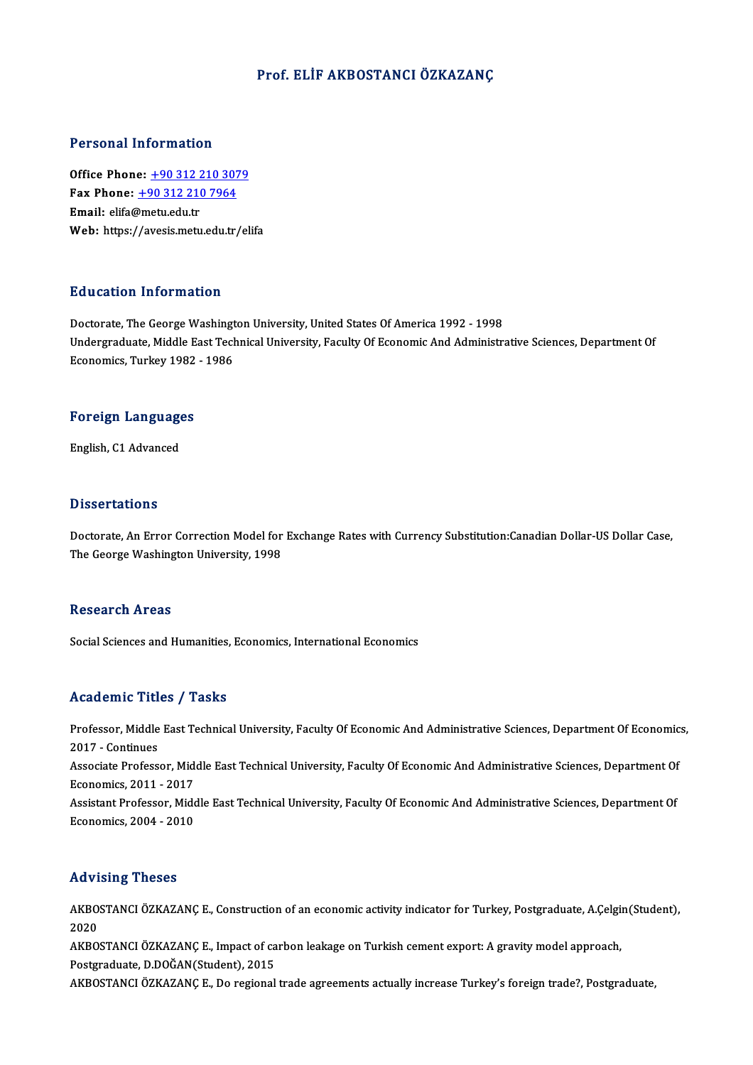#### Prof. ELİF AKBOSTANCIÖZKAZANÇ

#### Personal Information

**Personal Information<br>Office Phone: +90 312 210 3079<br>Fax Phone: +90 312 210 7964** Fax Phone: <u>+90 312 210 307</u><br>Fax Phone: <u>+90 312 210 7964</u><br>Fmail: elifo@metu.edu.tr Office Phone: <u>+90 312 2</u><br>Fax Phone: <u>+90 312 210</u><br>Email: elifa@metu.edu.tr Fax Phone: <u>+90 312 210 7964</u><br>Email: elifa@metu.edu.tr<br>Web: https:/[/avesis.metu.edu.tr](tel:+90 312 210 7964)[/el](tel:+90 312 210 3079)ifa

#### Education Information

Education Information<br>Doctorate, The George Washington University, United States Of America 1992 - 1998<br>Undergraduate Middle Fast Technical University, Faculty Of Esspornic And Administry Undergraduate, Middle East Technical University, Faculty Of Economic And Administrative Sciences, Department Of<br>Economics, Turkey 1982 - 1986 Doctorate, The George Washingt<br>Undergraduate, Middle East Tecl<br>Economics, Turkey 1982 - 1986

## economics, rurkey 1982<br>Foreign Languages F<mark>oreign Languag</mark>e<br>English, C1 Advanced

English, C1 Advanced<br>Dissertations

Doctorate, An Error Correction Model for Exchange Rates with Currency Substitution:Canadian Dollar-US Dollar Case, The George Washington University, 1998

#### **Research Areas**

Social Sciences and Humanities, Economics, International Economics

#### Academic Titles / Tasks

Academic Titles / Tasks<br>Professor, Middle East Technical University, Faculty Of Economic And Administrative Sciences, Department Of Economics,<br>2017 - Continues Professor, Middle<br>2017 - Continues<br>Associate Profess Professor, Middle East Technical University, Faculty Of Economic And Administrative Sciences, Department Of Economic<br>2017 - Continues<br>Associate Professor, Middle East Technical University, Faculty Of Economic And Administr

2017 - Continues<br>Associate Professor, Mid<br>Economics, 2011 - 2017<br>Assistant Professor, Mide Associate Professor, Middle East Technical University, Faculty Of Economic And Administrative Sciences, Department Of<br>Economics, 2011 - 2017<br>Assistant Professor, Middle East Technical University, Faculty Of Economic And Ad

Economics, 2011 - 2017<br>Assistant Professor, Middle East Technical University, Faculty Of Economic And Administrative Sciences, Department Of<br>Economics, 2004 - 2010

#### Advising Theses

Advising Theses<br>AKBOSTANCI ÖZKAZANÇ E., Construction of an economic activity indicator for Turkey, Postgraduate, A.Çelgin(Student),<br>2020 2020<br>2020<br>2020 AKBOSTANCI ÖZKAZANÇ E., Construction of an economic activity indicator for Turkey, Postgraduate, A.Çelgi<br>2020<br>AKBOSTANCI ÖZKAZANÇ E., Impact of carbon leakage on Turkish cement export: A gravity model approach,<br>Postgraduat

2020<br>AKBOSTANCI ÖZKAZANÇ E., Impact of ca<br>Postgraduate, D.DOĞAN(Student), 2015<br>AKBOSTANCI ÖZKAZANC E. De regional AKBOSTANCI ÖZKAZANÇ E., Impact of carbon leakage on Turkish cement export: A gravity model approach,<br>Postgraduate, D.DOĞAN(Student), 2015<br>AKBOSTANCI ÖZKAZANÇ E., Do regional trade agreements actually increase Turkey's fore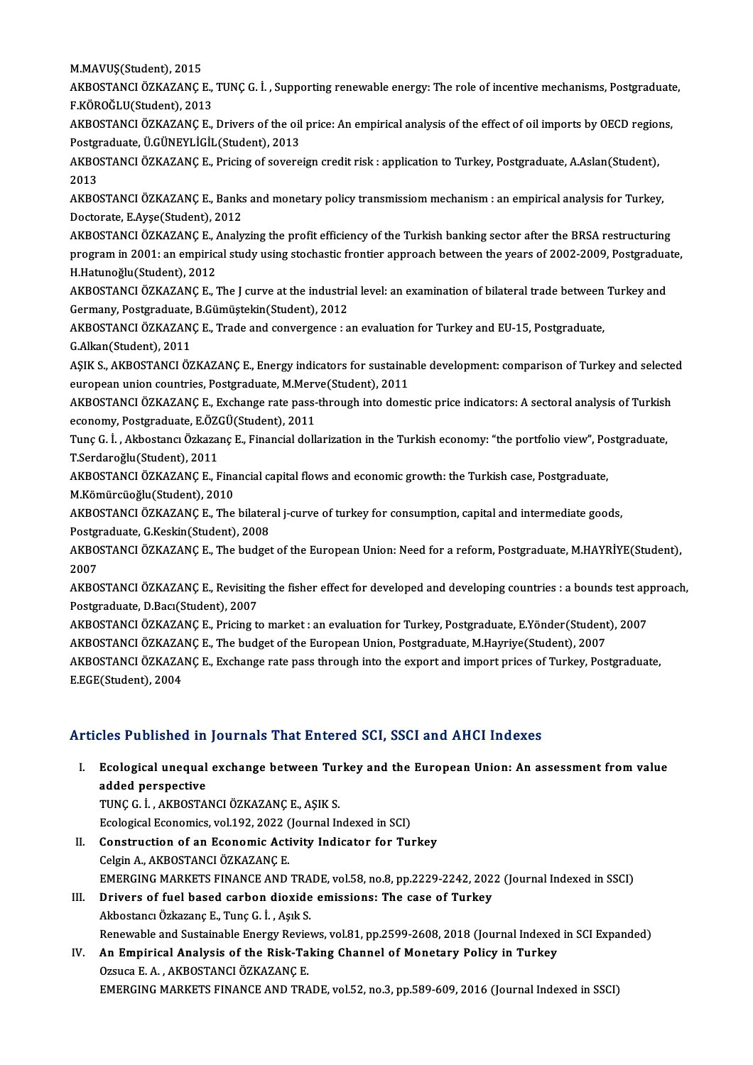M.MAVUŞ(Student),2015

M.MAVUŞ(Student), 2015<br>AKBOSTANCI ÖZKAZANÇ E., TUNÇ G. İ. , Supporting renewable energy: The role of incentive mechanisms, Postgraduate,<br>E.KÖROĞLU(Student), 2013 M.MAVUŞ(Student), 2015<br>AKBOSTANCI ÖZKAZANÇ E.,<br>F.KÖROĞLU(Student), 2013<br>AKBOSTANCI ÖZKAZANC E AKBOSTANCI ÖZKAZANÇ E., TUNÇ G. İ. , Supporting renewable energy: The role of incentive mechanisms, Postgraduate<br>F.KÖROĞLU(Student), 2013<br>AKBOSTANCI ÖZKAZANÇ E., Drivers of the oil price: An empirical analysis of the effec

F.KÖROĞLU(Student), 2013<br>AKBOSTANCI ÖZKAZANÇ E., Drivers of the oil<br>Postgraduate, Ü.GÜNEYLİGİL(Student), 2013<br>AKBOSTANCI ÖZKAZANC E. Prising of sovero AKBOSTANCI ÖZKAZANÇ E., Drivers of the oil price: An empirical analysis of the effect of oil imports by OECD region<br>Postgraduate, Ü.GÜNEYLİGİL(Student), 2013<br>AKBOSTANCI ÖZKAZANÇ E., Pricing of sovereign credit risk : appli

Postgraduate, Ü.GÜNEYLİGİL(Student), 2013<br>AKBOSTANCI ÖZKAZANÇ E., Pricing of sovereign credit risk : application to Turkey, Postgraduate, A.Aslan(Student),<br>2013 AKBOSTANCI ÖZKAZANÇ E., Pricing of sovereign credit risk : application to Turkey, Postgraduate, A.Aslan(Student),<br>2013<br>AKBOSTANCI ÖZKAZANÇ E., Banks and monetary policy transmissiom mechanism : an empirical analysis for Tu

2013<br>AKBOSTANCI ÖZKAZANÇ E., Banks<br>Doctorate, E.Ayşe(Student), 2012<br>AKBOSTANCI ÖZKAZANÇ E. Analy AKBOSTANCI ÖZKAZANÇ E., Banks and monetary policy transmissiom mechanism : an empirical analysis for Turkey,<br>Doctorate, E.Ayşe(Student), 2012<br>AKBOSTANCI ÖZKAZANÇ E., Analyzing the profit efficiency of the Turkish banking s

Doctorate, E.Ayşe(Student), 2012<br>AKBOSTANCI ÖZKAZANÇ E., Analyzing the profit efficiency of the Turkish banking sector after the BRSA restructuring<br>program in 2001: an empirical study using stochastic frontier approach bet AKBOSTANCI ÖZKAZANÇ E., *1*<br>program in 2001: an empiric:<br>H.Hatunoğlu(Student), 2012<br>AKBOSTANCI ÖZKAZANÇ E. program in 2001: an empirical study using stochastic frontier approach between the years of 2002-2009, Postgradua<br>H.Hatunoğlu(Student), 2012<br>AKBOSTANCI ÖZKAZANÇ E., The J curve at the industrial level: an examination of bi

H.Hatunoğlu(Student), 2012<br>AKBOSTANCI ÖZKAZANÇ E., The J curve at the industria<br>Germany, Postgraduate, B.Gümüştekin(Student), 2012<br>AKBOSTANCI ÖZKAZANC E. Trade and sonvergence i.e AKBOSTANCI ÖZKAZANÇ E., The J curve at the industrial level: an examination of bilateral trade between Turkey and<br>Germany, Postgraduate, B.Gümüştekin(Student), 2012<br>AKBOSTANCI ÖZKAZANÇ E., Trade and convergence : an evalua

**Germany, Postgraduate,<br>AKBOSTANCI ÖZKAZAN<br>G.Alkan(Student), 2011** AKBOSTANCI ÖZKAZANÇ E., Trade and convergence : an evaluation for Turkey and EU-15, Postgraduate,<br>G.Alkan(Student), 2011<br>AŞIK S., AKBOSTANCI ÖZKAZANÇ E., Energy indicators for sustainable development: comparison of Turkey

G.Alkan(Student), 2011<br>AŞIK S., AKBOSTANCI ÖZKAZANÇ E., Energy indicators for sustaina<br>european union countries, Postgraduate, M.Merve(Student), 2011<br>AKROSTANCI ÖZKAZANG E. Evshange pate pess through inte demo AŞIK S., AKBOSTANCI ÖZKAZANÇ E., Energy indicators for sustainable development: comparison of Turkey and selecte<br>european union countries, Postgraduate, M.Merve(Student), 2011<br>AKBOSTANCI ÖZKAZANÇ E., Exchange rate pass-thr

european union countries, Postgraduate, M.Merv<br>AKBOSTANCI ÖZKAZANÇ E., Exchange rate pass-<br>economy, Postgraduate, E.ÖZGÜ(Student), 2011<br>Tune C. İ., Althestansı Özkazana E. Einansial dallı AKBOSTANCI ÖZKAZANÇ E., Exchange rate pass-through into domestic price indicators: A sectoral analysis of Turkish<br>economy, Postgraduate, E.ÖZGÜ(Student), 2011<br>Tunç G. İ. , Akbostancı Özkazanç E., Financial dollarization in

economy, Postgraduate, E.ÖZGÜ(Student), 2011<br>Tunç G. İ. , Akbostancı Özkazanç E., Financial dollarization in the Turkish economy: "the portfolio view", Postgraduate,<br>T.Serdaroğlu(Student), 2011 Tunç G. İ. , Akbostancı Özkazanç E., Financial dollarization in the Turkish economy: "the portfolio view", Po<br>T.Serdaroğlu(Student), 2011<br>AKBOSTANCI ÖZKAZANÇ E., Financial capital flows and economic growth: the Turkish cas

T.Serdaroğlu(Student), 2011<br>AKBOSTANCI ÖZKAZANÇ E., Fina<br>M.Kömürcüoğlu(Student), 2010<br>AKBOSTANCI ÖZKAZANÇ E. The AKBOSTANCI ÖZKAZANÇ E., Financial capital flows and economic growth: the Turkish case, Postgraduate,<br>M.Kömürcüoğlu(Student), 2010<br>AKBOSTANCI ÖZKAZANÇ E., The bilateral j-curve of turkey for consumption, capital and interme

M.Kömürcüoğlu(Student), 2010<br>AKBOSTANCI ÖZKAZANÇ E., The bilateral j-curve of turkey for consumption, capital and intermediate goods,

Postgraduate, G.Keskin(Student), 2008

AKBOSTANCI ÖZKAZANÇ E., The budget of the European Union: Need for a reform, Postgraduate, M.HAYRİYE(Student),<br>2007 AKBOSTANCI ÖZKAZANÇ E., The budget of the European Union: Need for a reform, Postgraduate, M.HAYRİYE(Student),<br>2007<br>AKBOSTANCI ÖZKAZANÇ E., Revisiting the fisher effect for developed and developing countries : a bounds tes

2007<br>AKBOSTANCI ÖZKAZANÇ E., Revisitin<sub>i</sub><br>Postgraduate, D.Bacı(Student), 2007<br>AKBOSTANCI ÖZKAZANC E. Prisins té AKBOSTANCI ÖZKAZANÇ E., Revisiting the fisher effect for developed and developing countries : a bounds test ap<br>Postgraduate, D.Bacı(Student), 2007<br>AKBOSTANCI ÖZKAZANÇ E., Pricing to market : an evaluation for Turkey, Postg

Postgraduate, D.Bacı(Student), 2007<br>AKBOSTANCI ÖZKAZANÇ E., Pricing to market : an evaluation for Turkey, Postgraduate, E.Yönder(Student<br>AKBOSTANCI ÖZKAZANÇ E., The budget of the European Union, Postgraduate, M.Hayriye(Stu

AKBOSTANCI ÖZKAZANÇ E., Pricing to market : an evaluation for Turkey, Postgraduate, E.Yönder(Student), 2007<br>AKBOSTANCI ÖZKAZANÇ E., The budget of the European Union, Postgraduate, M.Hayriye(Student), 2007<br>AKBOSTANCI ÖZKAZA AKBOSTANCI ÖZKAZA<br>AKBOSTANCI ÖZKAZA<br>E.EGE(Student), 2004

#### Articles Published in Journals That Entered SCI, SSCI and AHCI Indexes

I. Ecological unequal exchange between Turkey and the European Union: An assessment fromvalue *added perspective*<br>added perspective<br>TING G LAVPOSTA Ecological unequal exchange between Tur<br>added perspective<br>TUNÇ G. İ. , AKBOSTANCI ÖZKAZANÇ E., AŞIK S.<br>Feologisal Economise vol 192, 2022 (Journal In added perspective<br>TUNÇ G. İ. , AKBOSTANCI ÖZKAZANÇ E., AŞIK S.<br>Ecological Economics, vol.192, 2022 (Journal Indexed in SCI)<br>Construction of an Esonomic Activity Indisator for Tu

- TUNÇ G. İ. , AKBOSTANCI ÖZKAZANÇ E., AŞIK S.<br>Ecological Economics, vol.192, 2022 (Journal Indexed in SCI)<br>II. Construction of an Economic Activity Indicator for Turkey<br>Celgin A., AKBOSTANCI ÖZKAZANÇ E. Ecological Economics, vol.192, 2022 (<br>Construction of an Economic Acti<br>Celgin A., AKBOSTANCI ÖZKAZANÇ E.<br>EMERCINC MARKETS EINANCE AND Construction of an Economic Activity Indicator for Turkey<br>Celgin A., AKBOSTANCI ÖZKAZANÇ E.<br>EMERGING MARKETS FINANCE AND TRADE, vol.58, no.8, pp.2229-2242, 2022 (Journal Indexed in SSCI)<br>Privers of fuel based serben dievid Celgin A., AKBOSTANCI ÖZKAZANÇ E.<br>EMERGING MARKETS FINANCE AND TRADE, vol.58, no.8, pp.2229-2242, 202.<br>III. Drivers of fuel based carbon dioxide emissions: The case of Turkey
- EMERGING MARKETS FINANCE AND TRA<br>Drivers of fuel based carbon dioxide<br>Akbostancı Özkazanç E., Tunç G. İ. , Aşık S.<br>Bonavrabla and Sustainabla Energy Baviat Drivers of fuel based carbon dioxide emissions: The case of Turkey<br>Akbostancı Özkazanç E., Tunç G. İ. , Aşık S.<br>Renewable and Sustainable Energy Reviews, vol.81, pp.2599-2608, 2018 (Journal Indexed in SCI Expanded)<br>An Emni Akbostancı Özkazanç E., Tunç G. İ. , Aşık S.<br>Renewable and Sustainable Energy Reviews, vol.81, pp.2599-2608, 2018 (Journal Indexed<br>IV. An Empirical Analysis of the Risk-Taking Channel of Monetary Policy in Turkey<br>Ozsuc
- Renewable and Sustainable Energy Revie<br>An Empirical Analysis of the Risk-Ta<br>Ozsuca E. A., AKBOSTANCI ÖZKAZANÇE.<br>EMERCINC MARKETS EINANCE AND TRA EMERGING MARKETS FINANCE AND TRADE, vol.52, no.3, pp.589-609, 2016 (Journal Indexed in SSCI)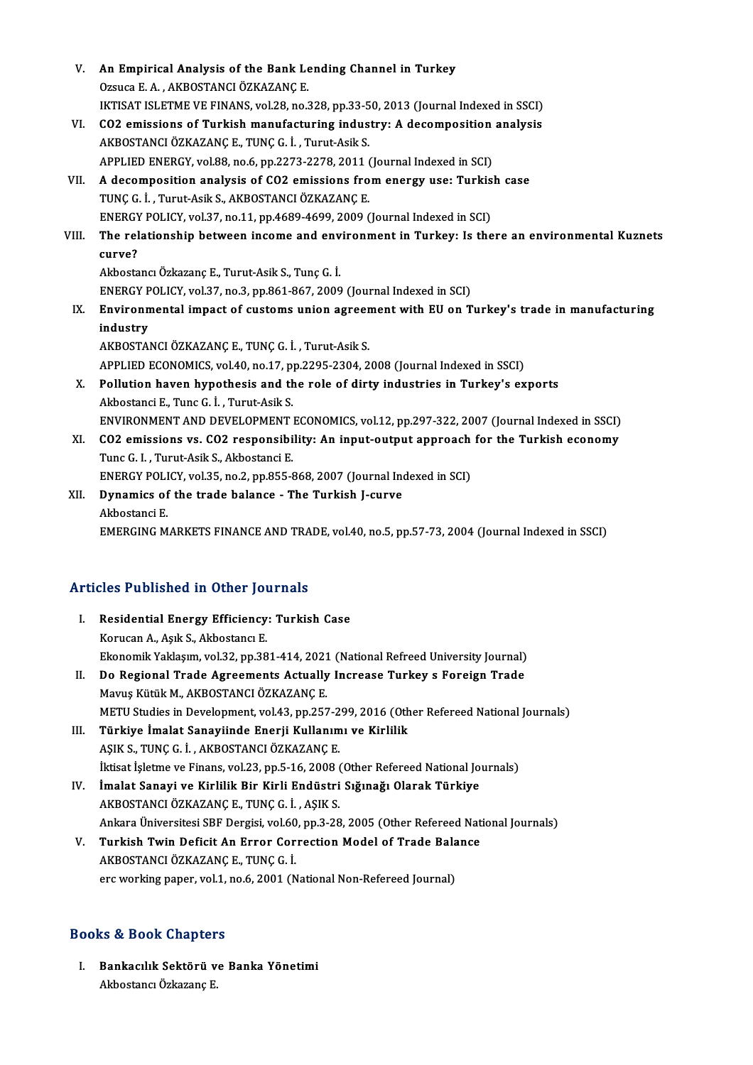| V.    | An Empirical Analysis of the Bank Lending Channel in Turkey                                  |
|-------|----------------------------------------------------------------------------------------------|
|       | Ozsuca E. A., AKBOSTANCI ÖZKAZANÇE.                                                          |
|       | IKTISAT ISLETME VE FINANS, vol.28, no.328, pp.33-50, 2013 (Journal Indexed in SSCI)          |
| VI.   | CO2 emissions of Turkish manufacturing industry: A decomposition analysis                    |
|       | AKBOSTANCI ÖZKAZANÇE, TUNÇ G. İ., Turut-Asik S.                                              |
|       | APPLIED ENERGY, vol.88, no.6, pp.2273-2278, 2011 (Journal Indexed in SCI)                    |
| VII.  | A decomposition analysis of CO2 emissions from energy use: Turkish case                      |
|       | TUNÇ G. İ., Turut-Asik S., AKBOSTANCI ÖZKAZANÇ E.                                            |
|       | ENERGY POLICY, vol.37, no.11, pp.4689-4699, 2009 (Journal Indexed in SCI)                    |
| VIII. | The relationship between income and environment in Turkey: Is there an environmental Kuznets |
|       | curve?                                                                                       |
|       | Akbostancı Özkazanç E., Turut-Asik S., Tunç G. İ.                                            |
|       | ENERGY POLICY, vol.37, no.3, pp.861-867, 2009 (Journal Indexed in SCI)                       |
| IX.   | Environmental impact of customs union agreement with EU on Turkey's trade in manufacturing   |
|       | industry                                                                                     |
|       | AKBOSTANCI ÖZKAZANÇE, TUNÇ G. İ., Turut-Asik S.                                              |
|       | APPLIED ECONOMICS, vol.40, no.17, pp.2295-2304, 2008 (Journal Indexed in SSCI)               |
| Х.    | Pollution haven hypothesis and the role of dirty industries in Turkey's exports              |
|       | Akbostanci E., Tunc G. İ., Turut-Asik S.                                                     |
|       | ENVIRONMENT AND DEVELOPMENT ECONOMICS, vol.12, pp.297-322, 2007 (Journal Indexed in SSCI)    |
| XI.   | CO2 emissions vs. CO2 responsibility: An input-output approach for the Turkish economy       |
|       | Tunc G. I., Turut-Asik S., Akbostanci E.                                                     |
|       | ENERGY POLICY, vol.35, no.2, pp.855-868, 2007 (Journal Indexed in SCI)                       |
| XII.  | Dynamics of the trade balance - The Turkish J-curve                                          |
|       | Akbostanci E.                                                                                |
|       | EMERGING MARKETS FINANCE AND TRADE, vol.40, no.5, pp.57-73, 2004 (Journal Indexed in SSCI)   |
|       |                                                                                              |

# EMERGING MARKETS FINANCE AND TRA<br>Articles Published in Other Journals

| Articles Published in Other Journals |                                                                                   |  |  |
|--------------------------------------|-----------------------------------------------------------------------------------|--|--|
|                                      | Residential Energy Efficiency: Turkish Case                                       |  |  |
|                                      | Korucan A., Asik S., Akbostanci E.                                                |  |  |
|                                      | Ekonomik Yaklasım, vol.32, pp.381-414, 2021 (National Refreed University Journal) |  |  |
| Н.                                   | Do Regional Trade Agreements Actually Increase Turkey s Foreign Trade             |  |  |
|                                      | Morne Vötöb M. AVDOSTANCI ÖZVAZANC E                                              |  |  |

- Mavuş Kütük M., AKBOSTANCI ÖZKAZANÇE. Do Regional Trade Agreements Actually Increase Turkey s Foreign Trade<br>Mavuş Kütük M., AKBOSTANCI ÖZKAZANÇ E.<br>METU Studies in Development, vol.43, pp.257-299, 2016 (Other Refereed National Journals)<br>Türkiye İmalat Sanayiind Mavuş Kütük M., AKBOSTANCI ÖZKAZANÇ E.<br>METU Studies in Development, vol.43, pp.257-299, 2016 (Oth<br>III. Türkiye İmalat Sanayiinde Enerji Kullanımı ve Kirlilik<br>ASIK S. TUNC C. İ. AKBOSTANCI ÖZKAZANC E
- METU Studies in Development, vol.43, pp.257-2<br>Türkiye İmalat Sanayiinde Enerji Kullanım<br>AŞIK S., TUNÇ G. İ. , AKBOSTANCI ÖZKAZANÇ E.<br>İktisat İslatme ve Finanç vol.22, nn 5,16,2008 ( Türkiye İmalat Sanayiinde Enerji Kullanımı ve Kirlilik<br>AŞIK S., TUNÇ G. İ. , AKBOSTANCI ÖZKAZANÇ E.<br>İktisat İşletme ve Finans, vol.23, pp.5-16, 2008 (Other Refereed National Journals)<br>İmalat Sanayi ve Kirlilik Pir Kirli En AŞIK S., TUNÇ G. İ. , AKBOSTANCI ÖZKAZANÇ E.<br>İktisat İşletme ve Finans, vol.23, pp.5-16, 2008 (Other Refereed National Jo<br>IV. İmalat Sanayi ve Kirlilik Bir Kirli Endüstri Sığınağı Olarak Türkiye<br>AKROSTANCI ÖZKAZANC E. TUNC
- İktisat İşletme ve Finans, vol.23, pp.5-16, 2008 (<br>İmalat Sanayi ve Kirlilik Bir Kirli Endüstri<br>AKBOSTANCI ÖZKAZANÇE., TUNÇG. İ. , AŞIK S.<br>Ankara Üniversitesi SBE Dersisi vel 60, np.2.28 İmalat Sanayi ve Kirlilik Bir Kirli Endüstri Sığınağı Olarak Türkiye<br>AKBOSTANCI ÖZKAZANÇ E., TUNÇ G. İ. , AŞIK S.<br>Ankara Üniversitesi SBF Dergisi, vol.60, pp.3-28, 2005 (Other Refereed National Journals)<br>Turkich Tujn Defic AKBOSTANCI ÖZKAZANÇ E., TUNÇ G. İ. , AŞIK S.<br>Ankara Üniversitesi SBF Dergisi, vol.60, pp.3-28, 2005 (Other Refereed Nat<br>V. Turkish Twin Deficit An Error Correction Model of Trade Balance<br>AKBOSTANCI ÖZKAZANC E. TINC C. İ
- V. Turkish Twin Deficit An Error Correction Model of Trade Balance<br>AKBOSTANCI ÖZKAZANÇE., TUNÇ G. İ. erc working paper, vol.1, no.6, 2001 (National Non-Refereed Journal)

### Books&Book Chapters

I. Bankacılık Sektörü ve Banka Yönetimi AkbostancıÖzkazançE.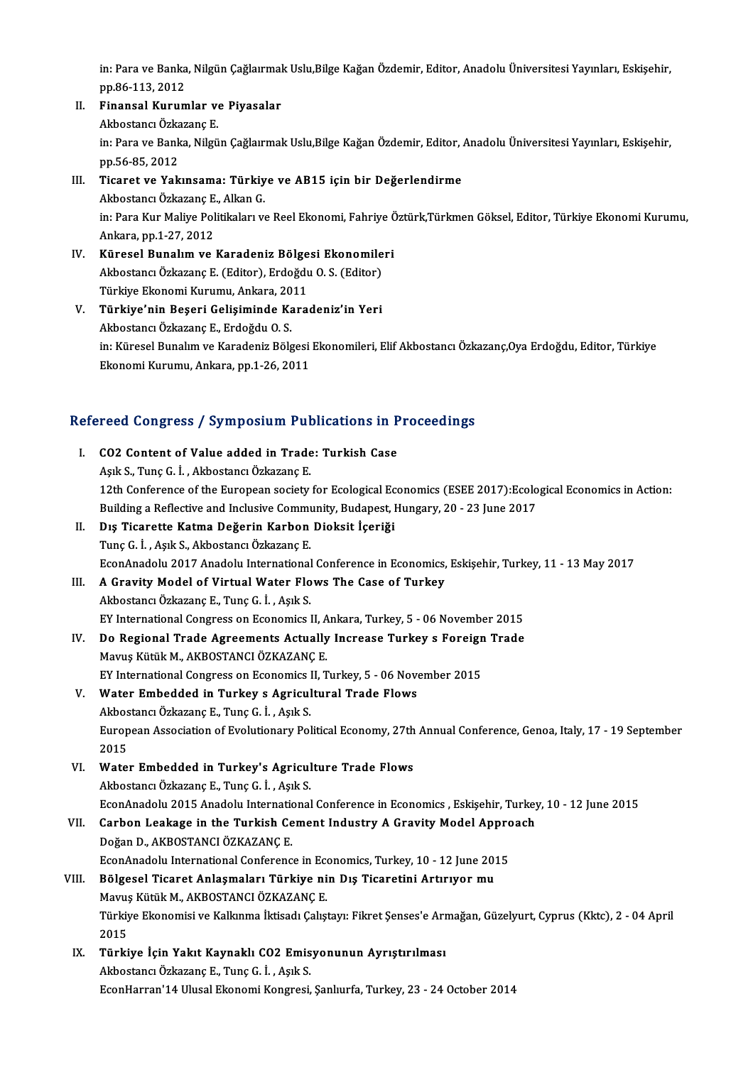in: Para ve Banka, Nilgün Çağlaırmak Uslu,Bilge Kağan Özdemir, Editor, Anadolu Üniversitesi Yayınları, Eskişehir,<br>PR 86 113 2012 in: Para ve Banka<br>pp.86-113, 2012<br>Einangel Kunum in: Para ve Banka, Nilgün Çağlaırmal<br>pp.86-113, 2012<br>II. Finansal Kurumlar ve Piyasalar

pp.86-113, 2012<br><mark>Finansal Kurumlar v</mark>o<br>Akbostancı Özkazanç E.<br>in: Para ve Banlın Nilgü Finansal Kurumlar ve Piyasalar<br>Akbostancı Özkazanç E.<br>in: Para ve Banka, Nilgün Çağlaırmak Uslu,Bilge Kağan Özdemir, Editor, Anadolu Üniversitesi Yayınları, Eskişehir,<br>nn 56.85.2012 Akbostancı Özka<br>in: Para ve Bank<br>pp.56-85, 2012<br>Tisaret ve Xak in: Para ve Banka, Nilgün Çağlaırmak Uslu,Bilge Kağan Özdemir, Editor, .<br>pp.56-85, 2012<br>III. Ticaret ve Yakınsama: Türkiye ve AB15 için bir Değerlendirme<br>Althostansı Özkayana E. Alkan C.

### pp.56-85, 2012<br>III. Ticaret ve Yakınsama: Türkiye ve AB15 için bir Değerlendirme<br>Akbostancı Özkazanç E., Alkan G. Ticaret ve Yakınsama: Türkiye ve AB15 için bir Değerlendirme<br>Akbostancı Özkazanç E., Alkan G.<br>in: Para Kur Maliye Politikaları ve Reel Ekonomi, Fahriye Öztürk,Türkmen Göksel, Editor, Türkiye Ekonomi Kurumu, Akbostancı Özkazanç E.<br>in: Para Kur Maliye Pol<br>Ankara, pp.1-27, 2012<br>Kürosel Bunalım ve in: Para Kur Maliye Politikaları ve Reel Ekonomi, Fahriye Ö<br>Ankara, pp.1-27, 2012<br>IV. Küresel Bunalım ve Karadeniz Bölgesi Ekonomileri<br>Althostansı Özkarana E. (Editor), Erdoğdu O.S. (Editor)

- Ankara, pp.1-27, 2012<br>Küresel Bunalım ve Karadeniz Bölgesi Ekonomile<br>Akbostancı Özkazanç E. (Editor), Erdoğdu O. S. (Editor)<br>Türkiye Ekonomi Kurumu, Ankara, 2011 Küresel Bunalım ve Karadeniz Bölge<br>Akbostancı Özkazanç E. (Editor), Erdoğdu<br>Türkiye Ekonomi Kurumu, Ankara, 2011<br>Türkiye'nin Besari Celisiminde Kara Akbostancı Özkazanç E. (Editor), Erdoğdu O. S. (Editor)<br>Türkiye Ekonomi Kurumu, Ankara, 2011<br>V. Türkiye'nin Beşeri Gelişiminde Karadeniz'in Yeri<br>Althostang Özkazans E. Erdoğdu O. S.
- Türkiye Ekonomi Kurumu, Ankara, 20<br>**Türkiye'nin Beşeri Gelişiminde Ka**<br>Akbostancı Özkazanç E., Erdoğdu O. S.<br>inı Küresel Bunalım ve Karadaniz Böle Türkiye'nin Beşeri Gelişiminde Karadeniz'in Yeri<br>Akbostancı Özkazanç E., Erdoğdu O. S.<br>in: Küresel Bunalım ve Karadeniz Bölgesi Ekonomileri, Elif Akbostancı Özkazanç,Oya Erdoğdu, Editor, Türkiye<br>Ekonomi Kurumu, Ankara, pp. Akbostancı Özkazanç E., Erdoğdu O. S.<br>in: Küresel Bunalım ve Karadeniz Bölgesi<br>Ekonomi Kurumu, Ankara, pp.1-26, 2011

# ekonomi Kurumu, Ankara, pp.1-26, 2011<br>Refereed Congress / Symposium Publications in Proceedings

| Refereed Congress / Symposium Publications in Proceedings |                                                                                                                   |  |
|-----------------------------------------------------------|-------------------------------------------------------------------------------------------------------------------|--|
| Ι.                                                        | CO2 Content of Value added in Trade: Turkish Case                                                                 |  |
|                                                           | Aşık S., Tunç G. İ., Akbostancı Özkazanç E.                                                                       |  |
|                                                           | 12th Conference of the European society for Ecological Economics (ESEE 2017): Ecological Economics in Action:     |  |
|                                                           | Building a Reflective and Inclusive Community, Budapest, Hungary, 20 - 23 June 2017                               |  |
| П.                                                        | Dış Ticarette Katma Değerin Karbon Dioksit İçeriği                                                                |  |
|                                                           | Tunç G. İ., Aşık S., Akbostancı Özkazanç E.                                                                       |  |
|                                                           | EconAnadolu 2017 Anadolu International Conference in Economics, Eskișehir, Turkey, 11 - 13 May 2017               |  |
| III.                                                      | A Gravity Model of Virtual Water Flows The Case of Turkey                                                         |  |
|                                                           | Akbostancı Özkazanç E., Tunç G. İ., Aşık S.                                                                       |  |
|                                                           | EY International Congress on Economics II, Ankara, Turkey, 5 - 06 November 2015                                   |  |
| IV.                                                       | Do Regional Trade Agreements Actually Increase Turkey s Foreign Trade                                             |  |
|                                                           | Mavuş Kütük M., AKBOSTANCI ÖZKAZANÇ E.                                                                            |  |
|                                                           | EY International Congress on Economics II, Turkey, 5 - 06 November 2015                                           |  |
| V.                                                        | Water Embedded in Turkey s Agricultural Trade Flows                                                               |  |
|                                                           | Akbostancı Özkazanç E., Tunç G. İ., Aşık S.                                                                       |  |
|                                                           | European Association of Evolutionary Political Economy, 27th Annual Conference, Genoa, Italy, 17 - 19 September   |  |
|                                                           | 2015                                                                                                              |  |
| VI.                                                       | Water Embedded in Turkey's Agriculture Trade Flows                                                                |  |
|                                                           | Akbostancı Özkazanç E., Tunç G. İ., Aşık S.                                                                       |  |
|                                                           | EconAnadolu 2015 Anadolu International Conference in Economics , Eskişehir, Turkey, 10 - 12 June 2015             |  |
| VII.                                                      | Carbon Leakage in the Turkish Cement Industry A Gravity Model Approach                                            |  |
|                                                           | Doğan D., AKBOSTANCI ÖZKAZANÇE.                                                                                   |  |
|                                                           | EconAnadolu International Conference in Economics, Turkey, 10 - 12 June 2015                                      |  |
| VIII.                                                     | Bölgesel Ticaret Anlaşmaları Türkiye nin Dış Ticaretini Artırıyor mu                                              |  |
|                                                           | Mavuş Kütük M., AKBOSTANCI ÖZKAZANÇE.                                                                             |  |
|                                                           | Türkiye Ekonomisi ve Kalkınma İktisadı Çalıştayı: Fikret Şenses'e Armağan, Güzelyurt, Cyprus (Kktc), 2 - 04 April |  |
|                                                           | 2015                                                                                                              |  |
| IX.                                                       | Türkiye İçin Yakıt Kaynaklı CO2 Emisyonunun Ayrıştırılması                                                        |  |
|                                                           | Akbostancı Özkazanç E., Tunç G. İ., Aşık S.                                                                       |  |
|                                                           | EconHarran'14 Ulusal Ekonomi Kongresi, Şanlıurfa, Turkey, 23 - 24 October 2014                                    |  |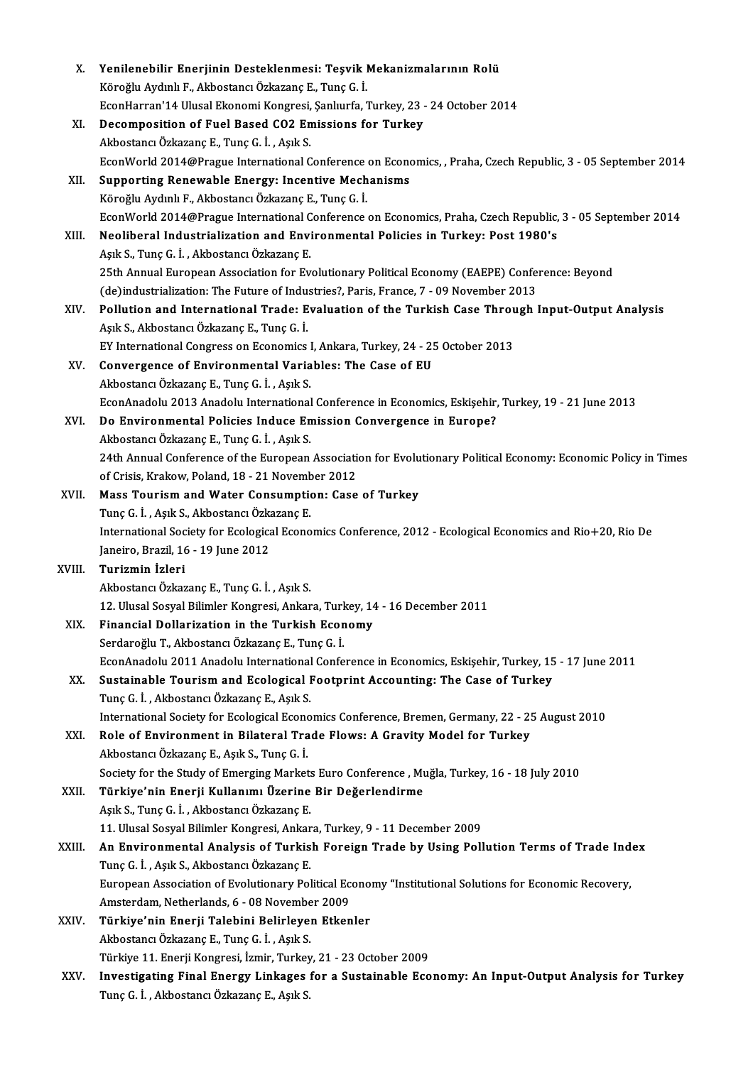| X.     | Yenilenebilir Enerjinin Desteklenmesi: Teşvik Mekanizmalarının Rolü                                                                      |
|--------|------------------------------------------------------------------------------------------------------------------------------------------|
|        | Köroğlu Aydınlı F., Akbostancı Özkazanç E., Tunç G. İ.<br>EconHarran'14 Ulusal Ekonomi Kongresi, Şanlıurfa, Turkey, 23 - 24 October 2014 |
|        | Decomposition of Fuel Based CO2 Emissions for Turkey                                                                                     |
| XI.    | Akbostancı Özkazanç E., Tunç G. İ., Aşık S.                                                                                              |
|        | EconWorld 2014@Prague International Conference on Economics, , Praha, Czech Republic, 3 - 05 September 2014                              |
| XII.   | Supporting Renewable Energy: Incentive Mechanisms                                                                                        |
|        | Köroğlu Aydınlı F., Akbostancı Özkazanç E., Tunç G. İ.                                                                                   |
|        | EconWorld 2014@Prague International Conference on Economics, Praha, Czech Republic, 3 - 05 September 2014                                |
| XIII.  | Neoliberal Industrialization and Environmental Policies in Turkey: Post 1980's                                                           |
|        | Aşık S., Tunç G. İ., Akbostancı Özkazanç E.                                                                                              |
|        | 25th Annual European Association for Evolutionary Political Economy (EAEPE) Conference: Beyond                                           |
|        | (de)industrialization: The Future of Industries?, Paris, France, 7 - 09 November 2013                                                    |
| XIV.   | Pollution and International Trade: Evaluation of the Turkish Case Through Input-Output Analysis                                          |
|        | Aşık S., Akbostancı Özkazanç E., Tunç G. İ.                                                                                              |
|        | EY International Congress on Economics I, Ankara, Turkey, 24 - 25 October 2013                                                           |
| XV.    | Convergence of Environmental Variables: The Case of EU                                                                                   |
|        | Akbostancı Özkazanç E., Tunç G. İ., Aşık S.                                                                                              |
|        | EconAnadolu 2013 Anadolu International Conference in Economics, Eskișehir, Turkey, 19 - 21 June 2013                                     |
| XVI.   | Do Environmental Policies Induce Emission Convergence in Europe?                                                                         |
|        | Akbostancı Özkazanç E., Tunç G. İ., Aşık S.                                                                                              |
|        | 24th Annual Conference of the European Association for Evolutionary Political Economy: Economic Policy in Times                          |
|        | of Crisis, Krakow, Poland, 18 - 21 November 2012                                                                                         |
| XVII.  | Mass Tourism and Water Consumption: Case of Turkey                                                                                       |
|        | Tunç G. İ., Aşık S., Akbostancı Özkazanç E.                                                                                              |
|        | International Society for Ecological Economics Conference, 2012 - Ecological Economics and Rio+20, Rio De                                |
|        | Janeiro, Brazil, 16 - 19 June 2012                                                                                                       |
| XVIII. | Turizmin İzleri                                                                                                                          |
|        | Akbostancı Özkazanç E., Tunç G. İ., Aşık S.                                                                                              |
|        | 12. Ulusal Sosyal Bilimler Kongresi, Ankara, Turkey, 14 - 16 December 2011                                                               |
| XIX.   | Financial Dollarization in the Turkish Economy                                                                                           |
|        | Serdaroğlu T., Akbostancı Özkazanç E., Tunç G. İ.                                                                                        |
|        | EconAnadolu 2011 Anadolu International Conference in Economics, Eskișehir, Turkey, 15 - 17 June 2011                                     |
| XX.    | Sustainable Tourism and Ecological Footprint Accounting: The Case of Turkey                                                              |
|        | Tunç G. İ., Akbostancı Özkazanç E., Aşık S.                                                                                              |
|        | International Society for Ecological Economics Conference, Bremen, Germany, 22 - 25 August 2010                                          |
| XXI.   | Role of Environment in Bilateral Trade Flows: A Gravity Model for Turkey                                                                 |
|        | Akbostancı Özkazanç E., Aşık S., Tunç G. İ.                                                                                              |
|        | Society for the Study of Emerging Markets Euro Conference, Muğla, Turkey, 16 - 18 July 2010                                              |
| XXII.  | Türkiye'nin Enerji Kullanımı Üzerine Bir Değerlendirme                                                                                   |
|        | Aşık S., Tunç G. İ., Akbostancı Özkazanç E.                                                                                              |
|        | 11. Ulusal Sosyal Bilimler Kongresi, Ankara, Turkey, 9 - 11 December 2009                                                                |
| XXIII. | An Environmental Analysis of Turkish Foreign Trade by Using Pollution Terms of Trade Index                                               |
|        | Tunç G. İ., Aşık S., Akbostancı Özkazanç E.                                                                                              |
|        | European Association of Evolutionary Political Economy "Institutional Solutions for Economic Recovery,                                   |
|        | Amsterdam, Netherlands, 6 - 08 November 2009                                                                                             |
| XXIV.  | Türkiye'nin Enerji Talebini Belirleyen Etkenler                                                                                          |
|        | Akbostancı Özkazanç E., Tunç G. İ., Aşık S.                                                                                              |
|        | Türkiye 11. Enerji Kongresi, İzmir, Turkey, 21 - 23 October 2009                                                                         |
| XXV.   | Investigating Final Energy Linkages for a Sustainable Economy: An Input-Output Analysis for Turkey                                       |
|        | Tunç G. İ., Akbostancı Özkazanç E., Aşık S.                                                                                              |
|        |                                                                                                                                          |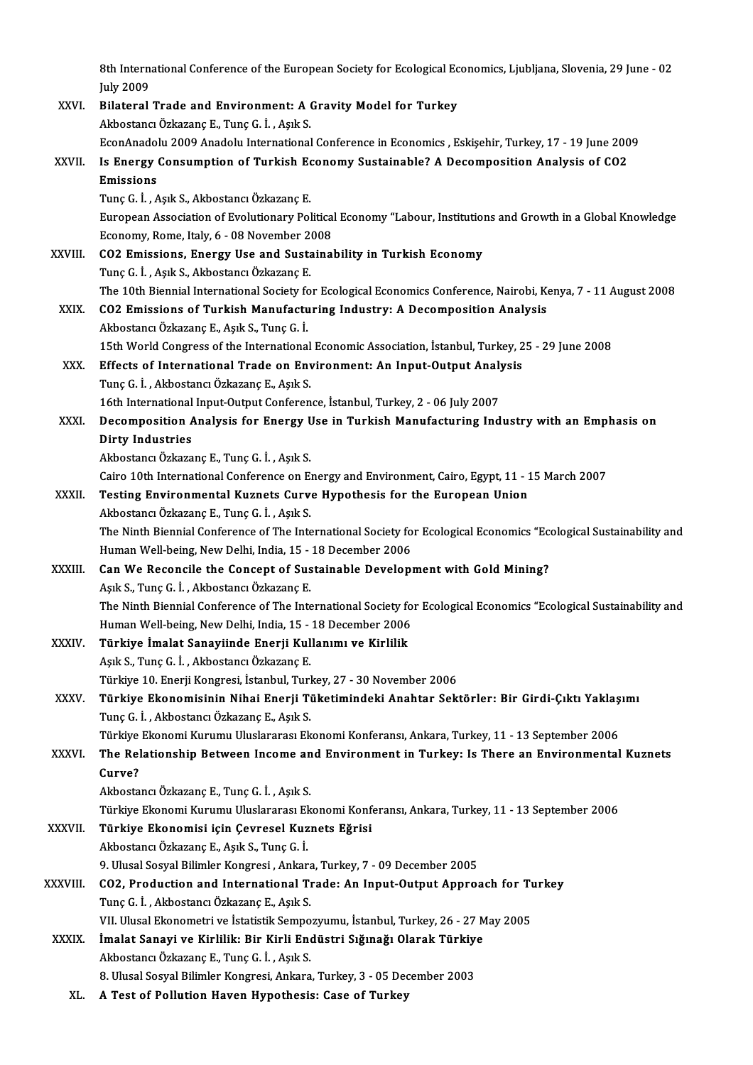8th International Conference of the European Society for Ecological Economics, Ljubljana, Slovenia, 29 June - 02<br>July 2009 8th Intern<br>July 2009<br>Bilatanal 8th International Conference of the European Society for Ecological Ec<br>July 2009<br>XXVI. Bilateral Trade and Environment: A Gravity Model for Turkey

|          | <b>July 2009</b>                                                                                                     |
|----------|----------------------------------------------------------------------------------------------------------------------|
| XXVI.    | Bilateral Trade and Environment: A Gravity Model for Turkey                                                          |
|          | Akbostancı Özkazanç E., Tunç G. İ., Aşık S.                                                                          |
|          | EconAnadolu 2009 Anadolu International Conference in Economics, Eskișehir, Turkey, 17 - 19 June 2009                 |
| XXVII.   | Is Energy Consumption of Turkish Economy Sustainable? A Decomposition Analysis of CO2                                |
|          | Emissions                                                                                                            |
|          | Tunç G. İ., Aşık S., Akbostancı Özkazanç E.                                                                          |
|          | European Association of Evolutionary Political Economy "Labour, Institutions and Growth in a Global Knowledge        |
|          | Economy, Rome, Italy, 6 - 08 November 2008                                                                           |
| XXVIII.  | CO2 Emissions, Energy Use and Sustainability in Turkish Economy                                                      |
|          | Tunç G. İ., Aşık S., Akbostancı Özkazanç E.                                                                          |
|          | The 10th Biennial International Society for Ecological Economics Conference, Nairobi, Kenya, 7 - 11 August 2008      |
| XXIX.    | CO2 Emissions of Turkish Manufacturing Industry: A Decomposition Analysis                                            |
|          | Akbostancı Özkazanç E., Aşık S., Tunç G. İ.                                                                          |
|          | 15th World Congress of the International Economic Association, İstanbul, Turkey, 25 - 29 June 2008                   |
| XXX.     | Effects of International Trade on Environment: An Input-Output Analysis                                              |
|          | Tunç G. İ., Akbostancı Özkazanç E., Aşık S.                                                                          |
|          | 16th International Input-Output Conference, İstanbul, Turkey, 2 - 06 July 2007                                       |
| XXXI.    | Decomposition Analysis for Energy Use in Turkish Manufacturing Industry with an Emphasis on                          |
|          | <b>Dirty Industries</b>                                                                                              |
|          | Akbostancı Özkazanç E., Tunç G. İ. , Aşık S.                                                                         |
|          | Cairo 10th International Conference on Energy and Environment, Cairo, Egypt, 11 - 15 March 2007                      |
| XXXII.   | Testing Environmental Kuznets Curve Hypothesis for the European Union                                                |
|          | Akbostancı Özkazanç E., Tunç G. İ., Aşık S.                                                                          |
|          | The Ninth Biennial Conference of The International Society for Ecological Economics "Ecological Sustainability and   |
|          | Human Well-being, New Delhi, India, 15 - 18 December 2006                                                            |
| XXXIII.  | Can We Reconcile the Concept of Sustainable Development with Gold Mining?                                            |
|          | Aşık S., Tunç G. İ., Akbostancı Özkazanç E.                                                                          |
|          | The Ninth Biennial Conference of The International Society for Ecological Economics "Ecological Sustainability and   |
|          | Human Well-being, New Delhi, India, 15 - 18 December 2006                                                            |
| XXXIV.   | Türkiye Imalat Sanayiinde Enerji Kullanımı ve Kirlilik                                                               |
|          | Aşık S., Tunç G. İ., Akbostancı Özkazanç E.                                                                          |
|          | Türkiye 10. Enerji Kongresi, İstanbul, Turkey, 27 - 30 November 2006                                                 |
| XXXV.    | Türkiye Ekonomisinin Nihai Enerji Tüketimindeki Anahtar Sektörler: Bir Girdi-Çıktı Yaklaşımı                         |
|          | Tunç G. İ., Akbostancı Özkazanç E., Aşık S.                                                                          |
|          | Türkiye Ekonomi Kurumu Uluslararası Ekonomi Konferansı, Ankara, Turkey, 11 - 13 September 2006                       |
| XXXVI.   | The Relationship Between Income and Environment in Turkey: Is There an Environmental Kuznets                         |
|          | Curve?                                                                                                               |
|          | Akbostancı Özkazanç E., Tunç G. İ., Aşık S.                                                                          |
|          | Türkiye Ekonomi Kurumu Uluslararası Ekonomi Konferansı, Ankara, Turkey, 11 - 13 September 2006                       |
| XXXVII.  | Türkiye Ekonomisi için Çevresel Kuznets Eğrisi                                                                       |
|          | Akbostancı Özkazanç E., Aşık S., Tunç G. İ.                                                                          |
|          | 9. Ulusal Sosyal Bilimler Kongresi, Ankara, Turkey, 7 - 09 December 2005                                             |
| XXXVIII. | CO2, Production and International Trade: An Input-Output Approach for Turkey                                         |
|          | Tunç G. İ., Akbostancı Özkazanç E., Aşık S.                                                                          |
|          | VII. Ulusal Ekonometri ve İstatistik Sempozyumu, İstanbul, Turkey, 26 - 27 May 2005                                  |
| XXXIX.   | İmalat Sanayi ve Kirlilik: Bir Kirli Endüstri Sığınağı Olarak Türkiye<br>Akbostancı Özkazanç E., Tunç G. İ., Aşık S. |
|          | 8. Ulusal Sosyal Bilimler Kongresi, Ankara, Turkey, 3 - 05 December 2003                                             |
| XL.      | A Test of Pollution Haven Hypothesis: Case of Turkey                                                                 |
|          |                                                                                                                      |